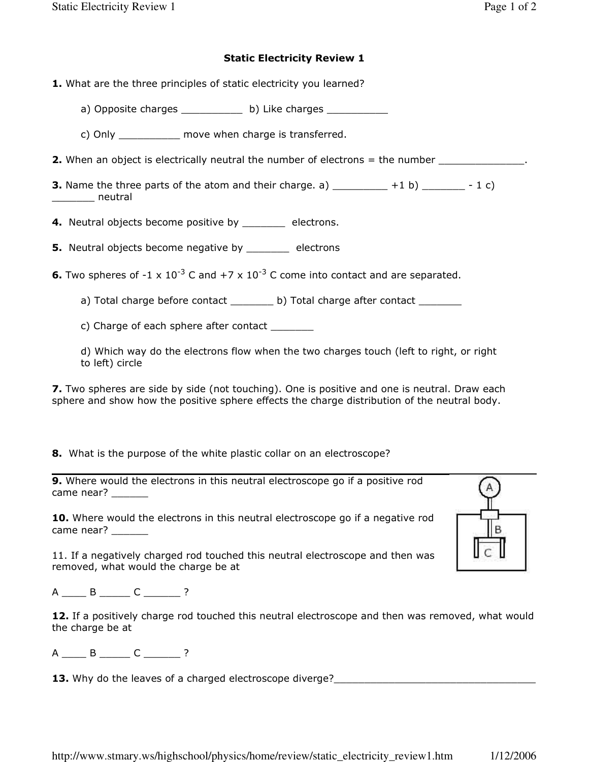## Static Electricity Review 1

- 1. What are the three principles of static electricity you learned?
	- a) Opposite charges \_\_\_\_\_\_\_\_\_\_\_ b) Like charges \_\_\_\_\_\_\_\_\_\_\_
	- c) Only \_\_\_\_\_\_\_\_\_\_ move when charge is transferred.
- 2. When an object is electrically neutral the number of electrons = the number \_\_\_\_\_\_\_\_\_\_\_\_\_\_.
- **3.** Name the three parts of the atom and their charge. a)  $+1$  b)  $-1$  c) \_\_\_\_\_\_\_ neutral
- 4. Neutral objects become positive by \_\_\_\_\_\_\_\_ electrons.
- **5.** Neutral objects become negative by \_\_\_\_\_\_\_\_ electrons
- **6.** Two spheres of -1 x 10<sup>-3</sup> C and +7 x 10<sup>-3</sup> C come into contact and are separated.
	- a) Total charge before contact \_\_\_\_\_\_\_\_ b) Total charge after contact \_\_\_\_\_\_\_\_

c) Charge of each sphere after contact \_\_\_\_\_\_\_

d) Which way do the electrons flow when the two charges touch (left to right, or right to left) circle

**7.** Two spheres are side by side (not touching). One is positive and one is neutral. Draw each sphere and show how the positive sphere effects the charge distribution of the neutral body.

8. What is the purpose of the white plastic collar on an electroscope?

| <b>9.</b> Where would the electrons in this neutral electroscope go if a positive rod |  |  |  |  |  |
|---------------------------------------------------------------------------------------|--|--|--|--|--|
| came near?                                                                            |  |  |  |  |  |

10. Where would the electrons in this neutral electroscope go if a negative rod came near?

11. If a negatively charged rod touched this neutral electroscope and then was removed, what would the charge be at

A \_\_\_\_\_ B \_\_\_\_\_\_ C \_\_\_\_\_\_\_ ?

| 12. If a positively charge rod touched this neutral electroscope and then was removed, what would |  |  |  |  |
|---------------------------------------------------------------------------------------------------|--|--|--|--|
| the charge be at                                                                                  |  |  |  |  |

A \_\_\_\_\_ B \_\_\_\_\_ C \_\_\_\_\_\_ ?

**13.** Why do the leaves of a charged electroscope diverge?\_\_\_\_\_\_\_\_\_\_\_\_\_\_\_\_\_\_\_\_\_\_\_